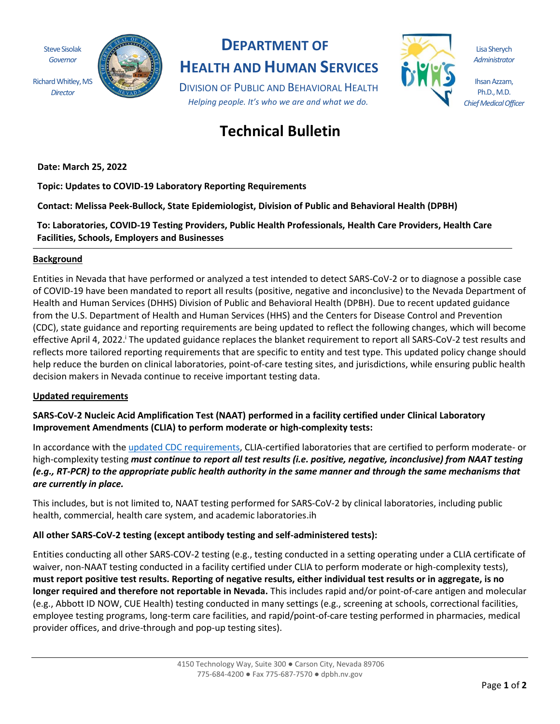Steve Sisolak *Governor* Richard Whitley, MS *Director*



## **DEPARTMENT OF HEALTH AND HUMAN SERVICES**

DIVISION OF PUBLIC AND BEHAVIORAL HEALTH *Helping people. It's who we are and what we do.*



Lisa Sherych *Administrator*

Ihsan Azzam, Ph.D., M.D. *Chief Medical Officer*

# **Technical Bulletin**

**Date: March 25, 2022**

**Topic: Updates to COVID-19 Laboratory Reporting Requirements**

**Contact: Melissa Peek-Bullock, State Epidemiologist, Division of Public and Behavioral Health (DPBH)**

**To: Laboratories, COVID-19 Testing Providers, Public Health Professionals, Health Care Providers, Health Care Facilities, Schools, Employers and Businesses**

### **Background**

Entities in Nevada that have performed or analyzed a test intended to detect SARS-CoV-2 or to diagnose a possible case of COVID-19 have been mandated to report all results (positive, negative and inconclusive) to the Nevada Department of Health and Human Services (DHHS) Division of Public and Behavioral Health (DPBH). Due to recent updated guidance from the U.S. Department of Health and Human Services (HHS) and the Centers for Disease Control and Prevention (CDC), state guidance and reporting requirements are being updated to reflect the following changes, which will become effective April 4, 2022.<sup>i</sup> The updated guidance replaces the blanket requirement to report all SARS-CoV-2 test results and reflects more tailored reporting requirements that are specific to entity and test type. This updated policy change should help reduce the burden on clinical laboratories, point-of-care testing sites, and jurisdictions, while ensuring public health decision makers in Nevada continue to receive important testing data.

### **Updated requirements**

**SARS-CoV-2 Nucleic Acid Amplification Test (NAAT) performed in a facility certified under Clinical Laboratory Improvement Amendments (CLIA) to perform moderate or high-complexity tests:**

In accordance with the [updated CDC requirements,](https://www.cdc.gov/coronavirus/2019-ncov/downloads/lab/HHS-Laboratory-Reporting-Guidance-508.pdf?ACSTrackingID=USCDC_2146-DM77640&ACSTrackingLabel=Lab%20Advisory%3A%20HHS%20Updates%20COVID-19%20Laboratory%20Reporting%20Guidance&deliveryName=USCDC_2146-DM77640) CLIA-certified laboratories that are certified to perform moderate- or high-complexity testing *must continue to report all test results (i.e. positive, negative, inconclusive) from NAAT testing (e.g., RT-PCR) to the appropriate public health authority in the same manner and through the same mechanisms that are currently in place.* 

This includes, but is not limited to, NAAT testing performed for SARS-CoV-2 by clinical laboratories, including public health, commercial, health care system, and academic laboratories.ih

### **All other SARS-CoV-2 testing (except antibody testing and self-administered tests):**

Entities conducting all other SARS-COV-2 testing (e.g., testing conducted in a setting operating under a CLIA certificate of waiver, non-NAAT testing conducted in a facility certified under CLIA to perform moderate or high-complexity tests), **must report positive test results. Reporting of negative results, either individual test results or in aggregate, is no longer required and therefore not reportable in Nevada.** This includes rapid and/or point-of-care antigen and molecular (e.g., Abbott ID NOW, CUE Health) testing conducted in many settings (e.g., screening at schools, correctional facilities, employee testing programs, long-term care facilities, and rapid/point-of-care testing performed in pharmacies, medical provider offices, and drive-through and pop-up testing sites).